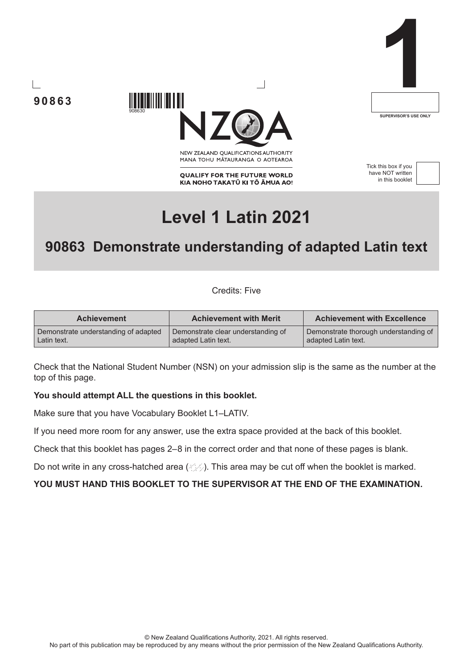**90863**



NEW ZEALAND OUALIFICATIONS AUTHORITY MANA TOHU MATAURANGA O AOTEAROA

**QUALIFY FOR THE FUTURE WORLD** KIA NOHO TAKATŪ KI TŌ ĀMUA AO! Tick this box if you have NOT written in this booklet

**1**

**SUPERVISOR'S USE ONLY**



# **Level 1 Latin 2021**

## **90863 Demonstrate understanding of adapted Latin text**

Credits: Five

| <b>Achievement</b>                   | <b>Achievement with Merit</b>      | <b>Achievement with Excellence</b>    |
|--------------------------------------|------------------------------------|---------------------------------------|
| Demonstrate understanding of adapted | Demonstrate clear understanding of | Demonstrate thorough understanding of |
| Latin text.                          | adapted Latin text.                | adapted Latin text.                   |

Check that the National Student Number (NSN) on your admission slip is the same as the number at the top of this page.

#### **You should attempt ALL the questions in this booklet.**

908630

Make sure that you have Vocabulary Booklet L1–LATIV.

If you need more room for any answer, use the extra space provided at the back of this booklet.

Check that this booklet has pages 2–8 in the correct order and that none of these pages is blank.

Do not write in any cross-hatched area  $(\angle \Diamond)$ . This area may be cut off when the booklet is marked.

#### **YOU MUST HAND THIS BOOKLET TO THE SUPERVISOR AT THE END OF THE EXAMINATION.**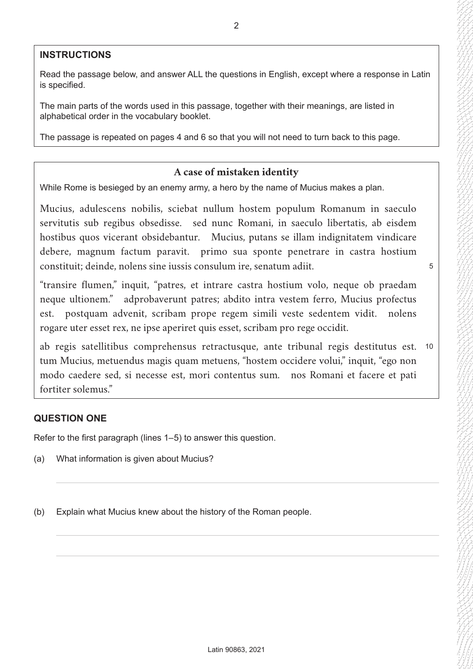#### **INSTRUCTIONS**

Read the passage below, and answer ALL the questions in English, except where a response in Latin is specified.

The main parts of the words used in this passage, together with their meanings, are listed in alphabetical order in the vocabulary booklet.

The passage is repeated on pages 4 and 6 so that you will not need to turn back to this page.

## **A case of mistaken identity**

While Rome is besieged by an enemy army, a hero by the name of Mucius makes a plan.

Mucius, adulescens nobilis, sciebat nullum hostem populum Romanum in saeculo servitutis sub regibus obsedisse. sed nunc Romani, in saeculo libertatis, ab eisdem hostibus quos vicerant obsidebantur. Mucius, putans se illam indignitatem vindicare debere, magnum factum paravit. primo sua sponte penetrare in castra hostium constituit; deinde, nolens sine iussis consulum ire, senatum adiit.

5

"transire flumen," inquit, "patres, et intrare castra hostium volo, neque ob praedam neque ultionem." adprobaverunt patres; abdito intra vestem ferro, Mucius profectus est. postquam advenit, scribam prope regem simili veste sedentem vidit. nolens rogare uter esset rex, ne ipse aperiret quis esset, scribam pro rege occidit.

ab regis satellitibus comprehensus retractusque, ante tribunal regis destitutus est. 10 tum Mucius, metuendus magis quam metuens, "hostem occidere volui," inquit, "ego non modo caedere sed, si necesse est, mori contentus sum. nos Romani et facere et pati fortiter solemus."

#### **QUESTION ONE**

Refer to the first paragraph (lines 1–5) to answer this question.

- (a) What information is given about Mucius?
- (b) Explain what Mucius knew about the history of the Roman people.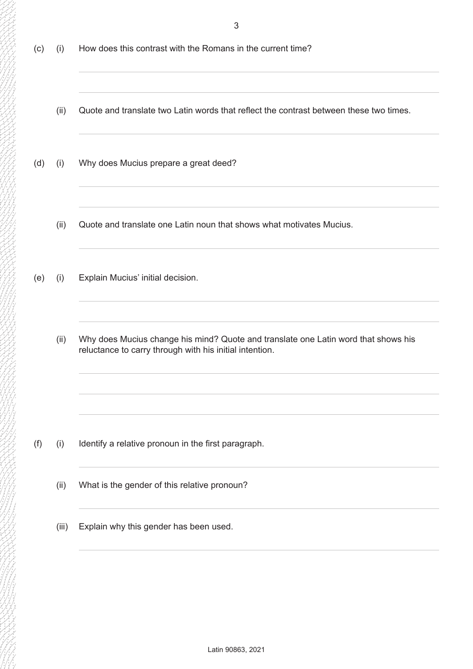- (c) (i) How does this contrast with the Romans in the current time?
	- (ii) Quote and translate two Latin words that reflect the contrast between these two times.
- (d) (i) Why does Mucius prepare a great deed?
	- (ii) Quote and translate one Latin noun that shows what motivates Mucius.
- (e) (i) Explain Mucius' initial decision.
	- (ii) Why does Mucius change his mind? Quote and translate one Latin word that shows his reluctance to carry through with his initial intention.

- (f) (i) Identify a relative pronoun in the first paragraph.
	- (ii) What is the gender of this relative pronoun?
	- (iii) Explain why this gender has been used.

3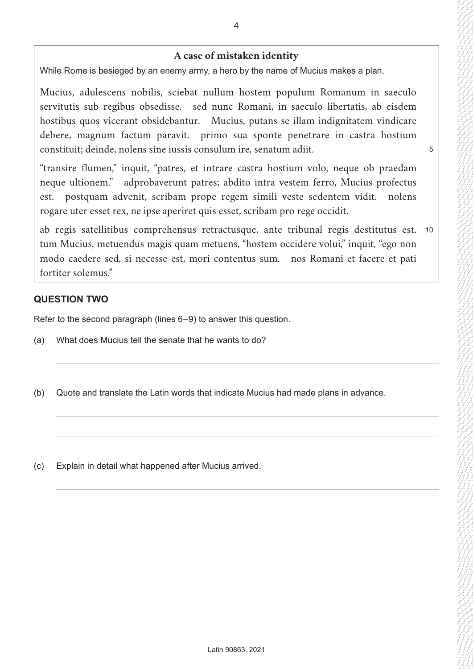## **A case of mistaken identity**

While Rome is besieged by an enemy army, a hero by the name of Mucius makes a plan.

Mucius, adulescens nobilis, sciebat nullum hostem populum Romanum in saeculo servitutis sub regibus obsedisse. sed nunc Romani, in saeculo libertatis, ab eisdem hostibus quos vicerant obsidebantur. Mucius, putans se illam indignitatem vindicare debere, magnum factum paravit. primo sua sponte penetrare in castra hostium constituit; deinde, nolens sine iussis consulum ire, senatum adiit.

5

"transire flumen," inquit, "patres, et intrare castra hostium volo, neque ob praedam neque ultionem." adprobaverunt patres; abdito intra vestem ferro, Mucius profectus est. postquam advenit, scribam prope regem simili veste sedentem vidit. nolens rogare uter esset rex, ne ipse aperiret quis esset, scribam pro rege occidit.

ab regis satellitibus comprehensus retractusque, ante tribunal regis destitutus est. 10 tum Mucius, metuendus magis quam metuens, "hostem occidere volui," inquit, "ego non modo caedere sed, si necesse est, mori contentus sum. nos Romani et facere et pati fortiter solemus."

#### **QUESTION TWO**

Refer to the second paragraph (lines 6–9) to answer this question.

- (a) What does Mucius tell the senate that he wants to do?
- (b) Quote and translate the Latin words that indicate Mucius had made plans in advance.

(c) Explain in detail what happened after Mucius arrived.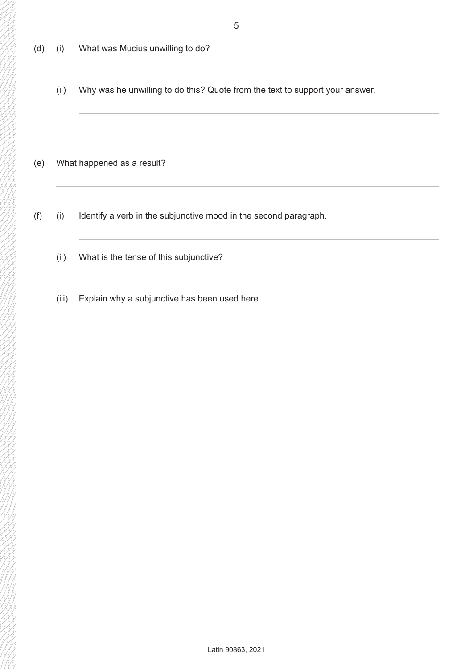- 5
- (d) (i) What was Mucius unwilling to do?
	- (ii) Why was he unwilling to do this? Quote from the text to support your answer.
- (e) What happened as a result?
- (f) (i) Identify a verb in the subjunctive mood in the second paragraph.
	- (ii) What is the tense of this subjunctive?
	- (iii) Explain why a subjunctive has been used here.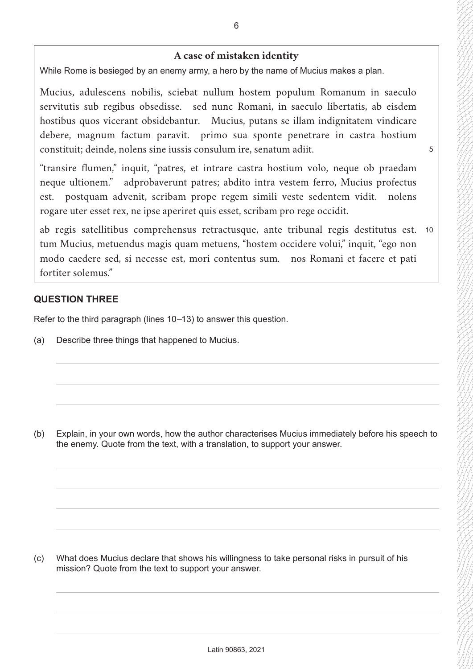## **A case of mistaken identity**

While Rome is besieged by an enemy army, a hero by the name of Mucius makes a plan.

Mucius, adulescens nobilis, sciebat nullum hostem populum Romanum in saeculo servitutis sub regibus obsedisse. sed nunc Romani, in saeculo libertatis, ab eisdem hostibus quos vicerant obsidebantur. Mucius, putans se illam indignitatem vindicare debere, magnum factum paravit. primo sua sponte penetrare in castra hostium constituit; deinde, nolens sine iussis consulum ire, senatum adiit.

5

"transire flumen," inquit, "patres, et intrare castra hostium volo, neque ob praedam neque ultionem." adprobaverunt patres; abdito intra vestem ferro, Mucius profectus est. postquam advenit, scribam prope regem simili veste sedentem vidit. nolens rogare uter esset rex, ne ipse aperiret quis esset, scribam pro rege occidit.

ab regis satellitibus comprehensus retractusque, ante tribunal regis destitutus est. 10 tum Mucius, metuendus magis quam metuens, "hostem occidere volui," inquit, "ego non modo caedere sed, si necesse est, mori contentus sum. nos Romani et facere et pati fortiter solemus."

## **QUESTION THREE**

Refer to the third paragraph (lines 10–13) to answer this question.

(a) Describe three things that happened to Mucius.

(b) Explain, in your own words, how the author characterises Mucius immediately before his speech to the enemy. Quote from the text, with a translation, to support your answer.

(c) What does Mucius declare that shows his willingness to take personal risks in pursuit of his mission? Quote from the text to support your answer.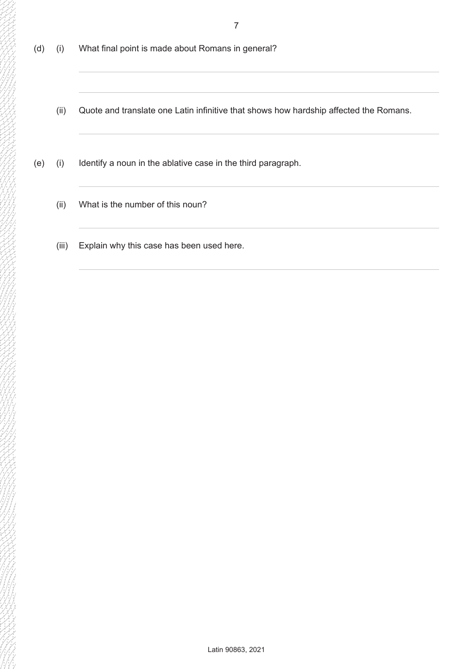- 7
- (d) (i) What final point is made about Romans in general?
	- (ii) Quote and translate one Latin infinitive that shows how hardship affected the Romans.
- (e) (i) Identify a noun in the ablative case in the third paragraph.
	- (ii) What is the number of this noun?
	- (iii) Explain why this case has been used here.